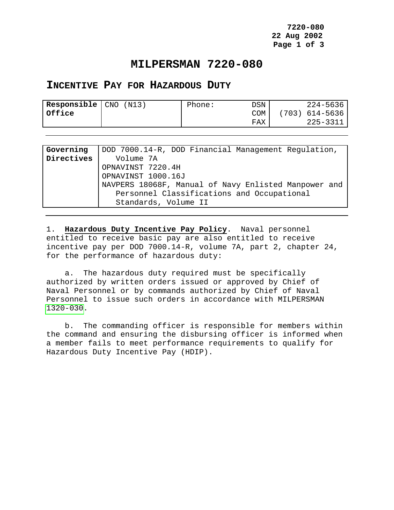**7220-080 22 Aug 2002 Page 1 of 3**

## **MILPERSMAN 7220-080**

## <span id="page-0-0"></span>**INCENTIVE PAY FOR HAZARDOUS DUTY**

| Office<br>(703) 614-5636<br>COM | Responsible   CNO | NI3) | Phone: | DSN | $224 - 5636$ |
|---------------------------------|-------------------|------|--------|-----|--------------|
|                                 |                   |      |        |     |              |
|                                 |                   |      |        | FAX | 225-3311     |

| Governing  | DOD 7000.14-R, DOD Financial Management Regulation,  |
|------------|------------------------------------------------------|
| Directives | Volume 7A                                            |
|            | OPNAVINST 7220.4H                                    |
|            | OPNAVINST 1000.16J                                   |
|            | NAVPERS 18068F, Manual of Navy Enlisted Manpower and |
|            | Personnel Classifications and Occupational           |
|            | Standards, Volume II                                 |

1. **Hazardous Duty Incentive Pay Policy**. Naval personnel entitled to receive basic pay are also entitled to receive incentive pay per DOD 7000.14-R, volume 7A, part 2, chapter 24, for the performance of hazardous duty:

 a. The hazardous duty required must be specifically authorized by written orders issued or approved by Chief of Naval Personnel or by commands authorized by Chief of Naval Personnel to issue such orders in accordance with MILPERSMAN 1320-030.

 b. The commanding officer is responsible for members within the command and ensuring the disbursing officer is informed when a member fails to meet performance requirements to qualify for Hazardous Duty Incentive Pay (HDIP).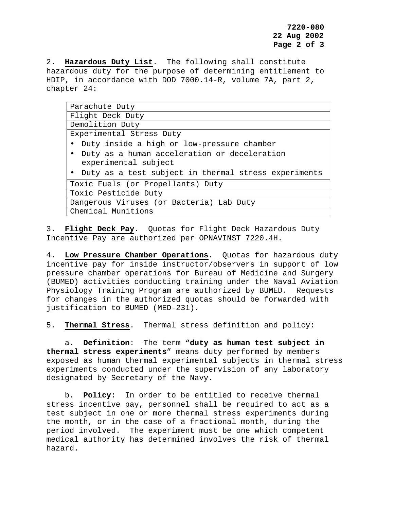**7220-080 22 Aug 2002 Page 2 of 3**

2. **Hazardous Duty List**. The following shall constitute hazardous duty for the purpose of determining entitlement to HDIP, in accordance with DOD 7000.14-R, volume 7A, part 2, chapter 24:

| Parachute Duty                                         |  |  |  |  |
|--------------------------------------------------------|--|--|--|--|
| Flight Deck Duty                                       |  |  |  |  |
| Demolition Duty                                        |  |  |  |  |
| Experimental Stress Duty                               |  |  |  |  |
| • Duty inside a high or low-pressure chamber           |  |  |  |  |
| • Duty as a human acceleration or deceleration         |  |  |  |  |
| experimental subject                                   |  |  |  |  |
| • Duty as a test subject in thermal stress experiments |  |  |  |  |
| Toxic Fuels (or Propellants) Duty                      |  |  |  |  |
| Toxic Pesticide Duty                                   |  |  |  |  |
| Dangerous Viruses (or Bacteria) Lab Duty               |  |  |  |  |
| Chemical Munitions                                     |  |  |  |  |

3. **Flight Deck Pay**. Quotas for Flight Deck Hazardous Duty Incentive Pay are authorized per OPNAVINST 7220.4H.

4. **Low Pressure Chamber Operations**. Quotas for hazardous duty incentive pay for inside instructor/observers in support of low pressure chamber operations for Bureau of Medicine and Surgery (BUMED) activities conducting training under the Naval Aviation Physiology Training Program are authorized by BUMED. Requests for changes in the authorized quotas should be forwarded with justification to BUMED (MED-231).

5. **Thermal Stress**. Thermal stress definition and policy:

a. **Definition**: The term "**duty as human test subject in thermal stress experiments**" means duty performed by members exposed as human thermal experimental subjects in thermal stress experiments conducted under the supervision of any laboratory designated by Secretary of the Navy.

b. **Policy:** In order to be entitled to receive thermal stress incentive pay, personnel shall be required to act as a test subject in one or more thermal stress experiments during the month, or in the case of a fractional month, during the period involved. The experiment must be one which competent medical authority has determined involves the risk of thermal hazard.